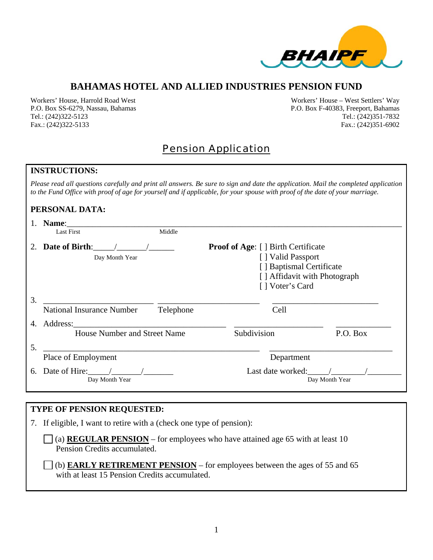

## **BAHAMAS HOTEL AND ALLIED INDUSTRIES PENSION FUND**

Workers' House, Harrold Road West Workers' House – West Settlers' Way P.O. Box SS-6279, Nassau, Bahamas P.O. Box F-40383, Freeport, Bahamas Tel.: (242)322-5123 Tel.: (242)351-7832 Fax.: (242)322-5133 Fax.: (242)351-6902

## Pension Application

#### **INSTRUCTIONS:**

*Please read all questions carefully and print all answers. Be sure to sign and date the application. Mail the completed application to the Fund Office with proof of age for yourself and if applicable, for your spouse with proof of the date of your marriage.* 

#### **PERSONAL DATA:**

|    | Name:                                           |           |                                                                                                                                                |                     |                |
|----|-------------------------------------------------|-----------|------------------------------------------------------------------------------------------------------------------------------------------------|---------------------|----------------|
|    | <b>Last First</b>                               | Middle    |                                                                                                                                                |                     |                |
|    | 2. Date of Birth:<br>Day Month Year             |           | <b>Proof of Age:</b> [ ] Birth Certificate<br>[] Valid Passport<br>[] Baptismal Certificate<br>[] Affidavit with Photograph<br>[] Voter's Card |                     |                |
| 3. | <b>National Insurance Number</b>                | Telephone |                                                                                                                                                | Cell                |                |
| 4. | Address:                                        |           |                                                                                                                                                |                     |                |
|    | <b>House Number and Street Name</b>             |           | Subdivision                                                                                                                                    |                     | P.O. Box       |
| 5. |                                                 |           |                                                                                                                                                |                     |                |
|    | Place of Employment                             |           |                                                                                                                                                | Department          |                |
| 6. | Date of Hire: $\frac{1}{2}$ /<br>Day Month Year |           |                                                                                                                                                | Last date worked: / | Day Month Year |

## **TYPE OF PENSION REQUESTED:**

7. If eligible, I want to retire with a (check one type of pension):

(a) **REGULAR PENSION** – for employees who have attained age 65 with at least 10 Pension Credits accumulated.

 (b) **EARLY RETIREMENT PENSION** – for employees between the ages of 55 and 65 with at least 15 Pension Credits accumulated.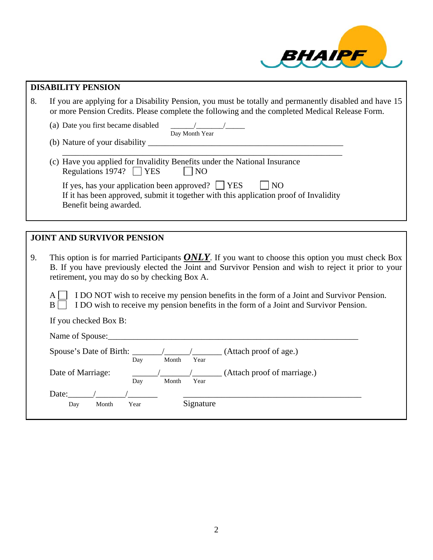

# **DISABILITY PENSION**  8. If you are applying for a Disability Pension, you must be totally and permanently disabled and have 15 or more Pension Credits. Please complete the following and the completed Medical Release Form. (a) Date you first became disabled  $\frac{1}{\text{Day Month Year}}$ (b) Nature of your disability  $\Box$  $\overline{\phantom{a}}$  ,  $\overline{\phantom{a}}$  ,  $\overline{\phantom{a}}$  ,  $\overline{\phantom{a}}$  ,  $\overline{\phantom{a}}$  ,  $\overline{\phantom{a}}$  ,  $\overline{\phantom{a}}$  ,  $\overline{\phantom{a}}$  ,  $\overline{\phantom{a}}$  ,  $\overline{\phantom{a}}$  ,  $\overline{\phantom{a}}$  ,  $\overline{\phantom{a}}$  ,  $\overline{\phantom{a}}$  ,  $\overline{\phantom{a}}$  ,  $\overline{\phantom{a}}$  ,  $\overline{\phantom{a}}$  (c) Have you applied for Invalidity Benefits under the National Insurance Regulations 1974?  $\Box$  YES  $\Box$  NO If yes, has your application been approved?  $\Box$  YES  $\Box$  NO If it has been approved, submit it together with this application proof of Invalidity Benefit being awarded. **JOINT AND SURVIVOR PENSION**  9. This option is for married Participants *ONLY*. If you want to choose this option you must check Box B. If you have previously elected the Joint and Survivor Pension and wish to reject it prior to your retirement, you may do so by checking Box A. A **I DO NOT** wish to receive my pension benefits in the form of a Joint and Survivor Pension. B **I DO** wish to receive my pension benefits in the form of a Joint and Survivor Pension. If you checked Box B: Name of Spouse: Spouse's Date of Birth:  $\frac{1}{\text{Day}}$  / $\frac{1}{\text{Month}}$  (Attach proof of age.) The Contract of Day Month Year Date of Marriage:  $\frac{1}{\text{Day}}$   $\frac{1}{\text{Month}}$  (Attach proof of marriage.) Date:\_\_\_\_\_\_/\_\_\_\_\_\_\_/\_\_\_\_\_\_\_ \_\_\_\_\_\_\_\_\_\_\_\_\_\_\_\_\_\_\_\_\_\_\_\_\_\_\_\_\_\_\_\_\_\_\_\_\_\_\_\_\_\_ Day Month Year Signature